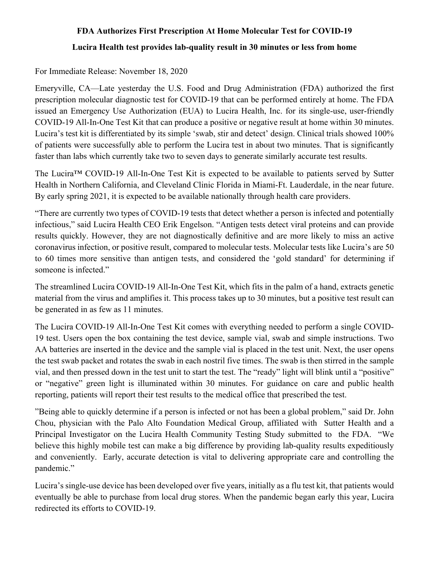## **FDA Authorizes First Prescription At Home Molecular Test for COVID-19 Lucira Health test provides lab-quality result in 30 minutes or less from home**

## For Immediate Release: November 18, 2020

Emeryville, CA—Late yesterday the U.S. Food and Drug Administration (FDA) authorized the first prescription molecular diagnostic test for COVID-19 that can be performed entirely at home. The FDA issued an Emergency Use Authorization (EUA) to Lucira Health, Inc. for its single-use, user-friendly COVID-19 All-In-One Test Kit that can produce a positive or negative result at home within 30 minutes. Lucira's test kit is differentiated by its simple 'swab, stir and detect' design. Clinical trials showed 100% of patients were successfully able to perform the Lucira test in about two minutes. That is significantly faster than labs which currently take two to seven days to generate similarly accurate test results.

The Lucira™ COVID-19 All-In-One Test Kit is expected to be available to patients served by Sutter Health in Northern California, and Cleveland Clinic Florida in Miami-Ft. Lauderdale, in the near future. By early spring 2021, it is expected to be available nationally through health care providers.

"There are currently two types of COVID-19 tests that detect whether a person is infected and potentially infectious," said Lucira Health CEO Erik Engelson. "Antigen tests detect viral proteins and can provide results quickly. However, they are not diagnostically definitive and are more likely to miss an active coronavirus infection, or positive result, compared to molecular tests. Molecular tests like Lucira's are 50 to 60 times more sensitive than antigen tests, and considered the 'gold standard' for determining if someone is infected."

The streamlined Lucira COVID-19 All-In-One Test Kit, which fits in the palm of a hand, extracts genetic material from the virus and amplifies it. This process takes up to 30 minutes, but a positive test result can be generated in as few as 11 minutes.

The Lucira COVID-19 All-In-One Test Kit comes with everything needed to perform a single COVID-19 test. Users open the box containing the test device, sample vial, swab and simple instructions. Two AA batteries are inserted in the device and the sample vial is placed in the test unit. Next, the user opens the test swab packet and rotates the swab in each nostril five times. The swab is then stirred in the sample vial, and then pressed down in the test unit to start the test. The "ready" light will blink until a "positive" or "negative" green light is illuminated within 30 minutes. For guidance on care and public health reporting, patients will report their test results to the medical office that prescribed the test.

"Being able to quickly determine if a person is infected or not has been a global problem," said Dr. John Chou, physician with the Palo Alto Foundation Medical Group, affiliated with Sutter Health and a Principal Investigator on the Lucira Health Community Testing Study submitted to the FDA. "We believe this highly mobile test can make a big difference by providing lab-quality results expeditiously and conveniently. Early, accurate detection is vital to delivering appropriate care and controlling the pandemic."

Lucira's single-use device has been developed over five years, initially as a flu test kit, that patients would eventually be able to purchase from local drug stores. When the pandemic began early this year, Lucira redirected its efforts to COVID-19.